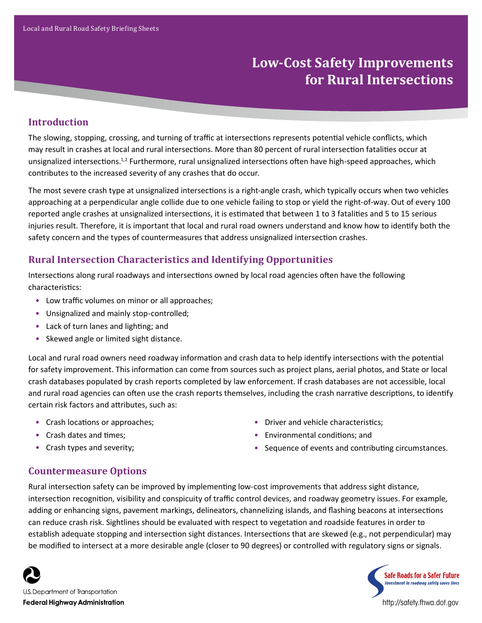# **Low-Cost Safety Improvements for Rural Intersections**

# **Introduction**

The slowing, stopping, crossing, and turning of traffic at intersections represents potential vehicle conflicts, which may result in crashes at local and rural intersections. More than 80 percent of rural intersection fatalities occur at unsignalized intersections.<sup>1,2</sup> Furthermore, rural unsignalized intersections often have high-speed approaches, which contributes to the increased severity of any crashes that do occur.

The most severe crash type at unsignalized intersections is a right-angle crash, which typically occurs when two vehicles approaching at a perpendicular angle collide due to one vehicle failing to stop or yield the right-of-way. Out of every 100 reported angle crashes at unsignalized intersections, it is estimated that between 1 to 3 fatalities and 5 to 15 serious injuries result. Therefore, it is important that local and rural road owners understand and know how to identify both the safety concern and the types of countermeasures that address unsignalized intersection crashes.

## **Rural Intersection Characteristics and Identifying Opportunities**

Intersections along rural roadways and intersections owned by local road agencies often have the following characteristics:

- Low traffic volumes on minor or all approaches;
- Unsignalized and mainly stop-controlled;
- Lack of turn lanes and lighting; and
- Skewed angle or limited sight distance.

Local and rural road owners need roadway information and crash data to help identify intersections with the potential for safety improvement. This information can come from sources such as project plans, aerial photos, and State or local crash databases populated by crash reports completed by law enforcement. If crash databases are not accessible, local and rural road agencies can often use the crash reports themselves, including the crash narrative descriptions, to identify certain risk factors and attributes, such as:

- Crash locations or approaches;
- Crash dates and times;
- Crash types and severity;
- Driver and vehicle characteristics;
- Environmental conditions; and
- Sequence of events and contributing circumstances.

http://safety.fhwa.dot.gov

**Safe Roads for a Safer Future** Investment in roadway safety saves lives

### **Countermeasure Options**

Rural intersection safety can be improved by implementing low-cost improvements that address sight distance, intersection recognition, visibility and conspicuity of traffic control devices, and roadway geometry issues. For example, adding or enhancing signs, pavement markings, delineators, channelizing islands, and flashing beacons at intersections can reduce crash risk. Sightlines should be evaluated with respect to vegetation and roadside features in order to establish adequate stopping and intersection sight distances. Intersections that are skewed (e.g., not perpendicular) may be modified to intersect at a more desirable angle (closer to 90 degrees) or controlled with regulatory signs or signals.

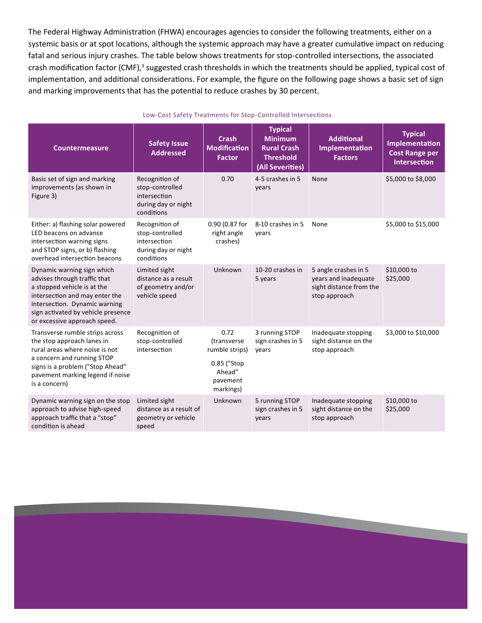The Federal Highway Administration (FHWA) encourages agencies to consider the following treatments, either on a systemic basis or at spot locations, although the systemic approach may have a greater cumulative impact on reducing fatal and serious injury crashes. The table below shows treatments for stop-controlled intersections, the associated crash modification factor (CMF),<sup>3</sup> suggested crash thresholds in which the treatments should be applied, typical cost of implementation, and additional considerations. For example, the figure on the following page shows a basic set of sign and marking improvements that has the potential to reduce crashes by 30 percent.

| <b>Countermeasure</b>                                                                                                                                                                                                              | <b>Safety Issue</b><br><b>Addressed</b>                                                | <b>Crash</b><br>Modification<br><b>Factor</b>                                                   | <b>Typical</b><br><b>Minimum</b><br><b>Rural Crash</b><br><b>Threshold</b><br>(All Severities) | <b>Additional</b><br>Implementation<br><b>Factors</b>                                    | <b>Typical</b><br>Implementation<br><b>Cost Range per</b><br><b>Intersection</b> |
|------------------------------------------------------------------------------------------------------------------------------------------------------------------------------------------------------------------------------------|----------------------------------------------------------------------------------------|-------------------------------------------------------------------------------------------------|------------------------------------------------------------------------------------------------|------------------------------------------------------------------------------------------|----------------------------------------------------------------------------------|
| Basic set of sign and marking<br>improvements (as shown in<br>Figure 3)                                                                                                                                                            | Recognition of<br>stop-controlled<br>intersection<br>during day or night<br>conditions | 0.70                                                                                            | 4-5 crashes in 5<br>years                                                                      | None                                                                                     | \$5,000 to \$8,000                                                               |
| Either: a) flashing solar powered<br>LED beacons on advance<br>intersection warning signs<br>and STOP signs, or b) flashing<br>overhead intersection beacons                                                                       | Recognition of<br>stop-controlled<br>intersection<br>during day or night<br>conditions | 0.90 (0.87 for<br>right angle<br>crashes)                                                       | 8-10 crashes in 5<br>years                                                                     | None                                                                                     | \$5,000 to \$15,000                                                              |
| Dynamic warning sign which<br>advises through traffic that<br>a stopped vehicle is at the<br>intersection and may enter the<br>intersection. Dynamic warning<br>sign activated by vehicle presence<br>or excessive approach speed. | Limited sight<br>distance as a result<br>of geometry and/or<br>vehicle speed           | Unknown                                                                                         | 10-20 crashes in<br>5 years                                                                    | 5 angle crashes in 5<br>years and inadequate<br>sight distance from the<br>stop approach | \$10,000 to<br>\$25,000                                                          |
| Transverse rumble strips across<br>the stop approach lanes in<br>rural areas where noise is not<br>a concern and running STOP<br>signs is a problem ("Stop Ahead"<br>pavement marking legend if noise<br>is a concern)             | Recognition of<br>stop-controlled<br>intersection                                      | 0.72<br><i>(transverse)</i><br>rumble strips)<br>0.85 ("Stop<br>Ahead"<br>pavement<br>markings) | 3 running STOP<br>sign crashes in 5<br>years                                                   | Inadequate stopping<br>sight distance on the<br>stop approach                            | \$3,000 to \$10,000                                                              |
| Dynamic warning sign on the stop<br>approach to advise high-speed<br>approach traffic that a "stop"<br>condition is ahead                                                                                                          | Limited sight<br>distance as a result of<br>geometry or vehicle<br>speed               | Unknown                                                                                         | 5 running STOP<br>sign crashes in 5<br>years                                                   | Inadequate stopping<br>sight distance on the<br>stop approach                            | \$10,000 to<br>\$25,000                                                          |

#### Low-Cost Safety Treatments for Stop-Controlled Intersections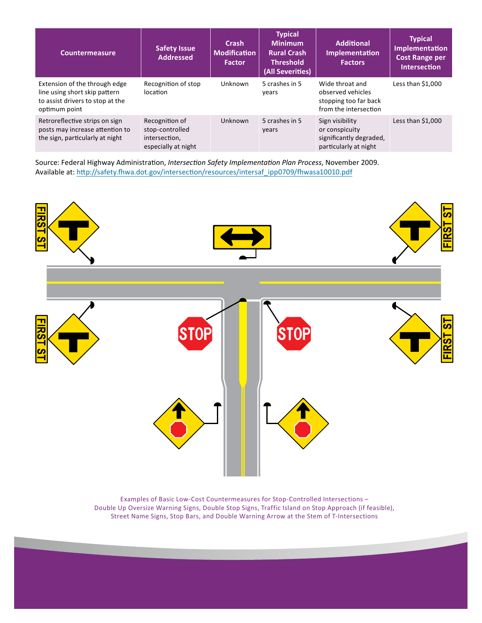| <b>Countermeasure</b>                                                                                               | <b>Safety Issue</b><br><b>Addressed</b>                                   | <b>Crash</b><br><b>Modification</b><br><b>Factor</b> | <b>Typical</b><br><b>Minimum</b><br><b>Rural Crash</b><br><b>Threshold</b><br>(All Severities) | <b>Additional</b><br><b>Implementation</b><br><b>Factors</b>                           | <b>Typical</b><br>Implementation<br><b>Cost Range per</b><br><b>Intersection</b> |
|---------------------------------------------------------------------------------------------------------------------|---------------------------------------------------------------------------|------------------------------------------------------|------------------------------------------------------------------------------------------------|----------------------------------------------------------------------------------------|----------------------------------------------------------------------------------|
| Extension of the through edge<br>line using short skip pattern<br>to assist drivers to stop at the<br>optimum point | Recognition of stop<br>location                                           | <b>Unknown</b>                                       | 5 crashes in 5<br>vears                                                                        | Wide throat and<br>observed vehicles<br>stopping too far back<br>from the intersection | Less than \$1,000                                                                |
| Retroreflective strips on sign<br>posts may increase attention to<br>the sign, particularly at night                | Recognition of<br>stop-controlled<br>intersection,<br>especially at night | Unknown                                              | 5 crashes in 5<br>years                                                                        | Sign visibility<br>or conspicuity<br>significantly degraded,<br>particularly at night  | Less than \$1,000                                                                |

Source: Federal Highway Administration, *Intersection Safety Implementation Plan Process*, November 2009. Available at: http://safety.fhwa.dot.gov/intersection/resources/intersaf\_ipp0709/fhwasa10010.pdf



Examples of Basic Low-Cost Countermeasures for Stop-Controlled Intersections – Double Up Oversize Warning Signs, Double Stop Signs, Traffic Island on Stop Approach (if feasible), Street Name Signs, Stop Bars, and Double Warning Arrow at the Stem of T-Intersections